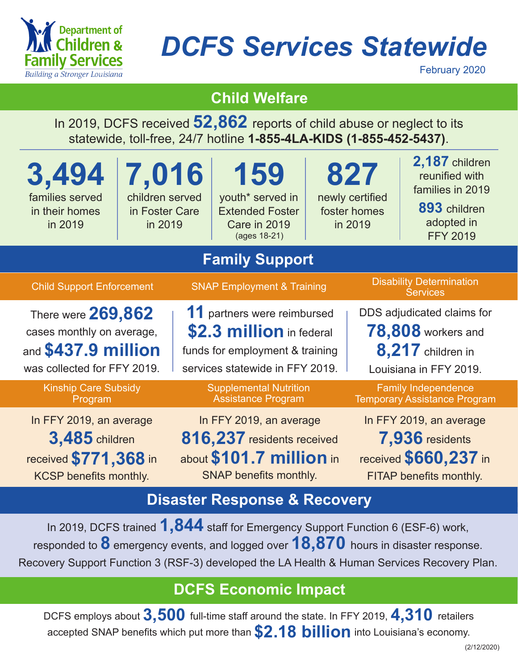

# *DCFS Services Statewide*

February 2020

## **Child Welfare**

In 2019, DCFS received **52,862** reports of child abuse or neglect to its statewide, toll-free, 24/7 hotline **1-855-4LA-KIDS (1-855-452-5437)**.

| 3,494<br>families served<br>in their homes<br>in 2019                                                      | 7,016<br>children served<br>in Foster Care<br>in 2019 |                                                                                                                               | 159<br>youth* served in<br><b>Extended Foster</b><br>Care in 2019<br>(ages 18-21) |                                                                                                | 827<br>newly certified<br>foster homes<br>in 2019                                                      | 2,187 children<br>reunified with<br>families in 2019<br>893 children<br>adopted in<br><b>FFY 2019</b> |  |  |
|------------------------------------------------------------------------------------------------------------|-------------------------------------------------------|-------------------------------------------------------------------------------------------------------------------------------|-----------------------------------------------------------------------------------|------------------------------------------------------------------------------------------------|--------------------------------------------------------------------------------------------------------|-------------------------------------------------------------------------------------------------------|--|--|
| <b>Family Support</b>                                                                                      |                                                       |                                                                                                                               |                                                                                   |                                                                                                |                                                                                                        |                                                                                                       |  |  |
| <b>Child Support Enforcement</b>                                                                           |                                                       | <b>SNAP Employment &amp; Training</b>                                                                                         |                                                                                   |                                                                                                | <b>Disability Determination</b><br><b>Services</b>                                                     |                                                                                                       |  |  |
| There were 269,862<br>cases monthly on average,<br>and \$437.9 million<br>was collected for FFY 2019.      |                                                       | 11 partners were reimbursed<br>\$2.3 million in federal<br>funds for employment & training<br>services statewide in FFY 2019. |                                                                                   |                                                                                                | DDS adjudicated claims for<br><b>78,808</b> workers and<br>8,217 children in<br>Louisiana in FFY 2019. |                                                                                                       |  |  |
| <b>Kinship Care Subsidy</b><br>Program                                                                     |                                                       | <b>Supplemental Nutrition</b><br><b>Assistance Program</b>                                                                    |                                                                                   | <b>Family Independence</b><br><b>Temporary Assistance Program</b>                              |                                                                                                        |                                                                                                       |  |  |
| In FFY 2019, an average<br><b>3,485</b> children<br>received \$771,368 in<br><b>KCSP</b> benefits monthly. |                                                       | In FFY 2019, an average<br>816,237 residents received<br>about \$101.7 million in<br>SNAP benefits monthly.                   |                                                                                   | In FFY 2019, an average<br>7,936 residents<br>received \$660,237 in<br>FITAP benefits monthly. |                                                                                                        |                                                                                                       |  |  |
|                                                                                                            |                                                       | <u>a matematika shekara ta 1989 na shekara ta 1989 na shekara ta 1989 na shekara ta 1989 na shekara ta 1989 na sh</u>         | <b>STATISTICS</b>                                                                 |                                                                                                |                                                                                                        |                                                                                                       |  |  |

#### **Disaster Response & Recovery**

In 2019, DCFS trained **1,844** staff for Emergency Support Function 6 (ESF-6) work, responded to **8** emergency events, and logged over **18,870** hours in disaster response. Recovery Support Function 3 (RSF-3) developed the LA Health & Human Services Recovery Plan.

## **DCFS Economic Impact**

DCFS employs about **3,500** full-time staff around the state. In FFY 2019, **4,310** retailers accepted SNAP benefits which put more than **\$2.18 billion** into Louisiana's economy.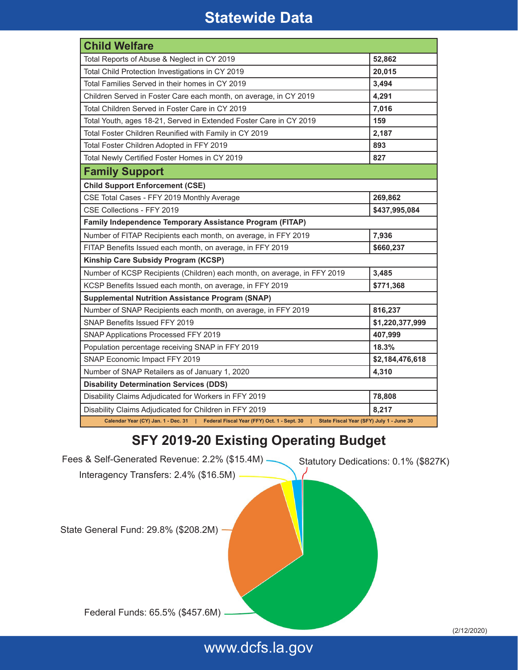## **Statewide Data**

| <b>Child Welfare</b>                                                                                                         |                 |  |  |  |  |
|------------------------------------------------------------------------------------------------------------------------------|-----------------|--|--|--|--|
| Total Reports of Abuse & Neglect in CY 2019                                                                                  | 52,862          |  |  |  |  |
| Total Child Protection Investigations in CY 2019                                                                             | 20,015          |  |  |  |  |
| Total Families Served in their homes in CY 2019                                                                              | 3,494           |  |  |  |  |
| Children Served in Foster Care each month, on average, in CY 2019                                                            | 4,291           |  |  |  |  |
| Total Children Served in Foster Care in CY 2019                                                                              | 7,016           |  |  |  |  |
| Total Youth, ages 18-21, Served in Extended Foster Care in CY 2019                                                           | 159             |  |  |  |  |
| Total Foster Children Reunified with Family in CY 2019                                                                       | 2,187           |  |  |  |  |
| Total Foster Children Adopted in FFY 2019                                                                                    | 893             |  |  |  |  |
| Total Newly Certified Foster Homes in CY 2019                                                                                | 827             |  |  |  |  |
| <b>Family Support</b>                                                                                                        |                 |  |  |  |  |
| <b>Child Support Enforcement (CSE)</b>                                                                                       |                 |  |  |  |  |
| CSE Total Cases - FFY 2019 Monthly Average                                                                                   | 269,862         |  |  |  |  |
| CSE Collections - FFY 2019                                                                                                   | \$437,995,084   |  |  |  |  |
| Family Independence Temporary Assistance Program (FITAP)                                                                     |                 |  |  |  |  |
| Number of FITAP Recipients each month, on average, in FFY 2019                                                               | 7,936           |  |  |  |  |
| FITAP Benefits Issued each month, on average, in FFY 2019                                                                    | \$660,237       |  |  |  |  |
| Kinship Care Subsidy Program (KCSP)                                                                                          |                 |  |  |  |  |
| Number of KCSP Recipients (Children) each month, on average, in FFY 2019                                                     | 3,485           |  |  |  |  |
| KCSP Benefits Issued each month, on average, in FFY 2019                                                                     | \$771,368       |  |  |  |  |
| <b>Supplemental Nutrition Assistance Program (SNAP)</b>                                                                      |                 |  |  |  |  |
| Number of SNAP Recipients each month, on average, in FFY 2019                                                                | 816,237         |  |  |  |  |
| SNAP Benefits Issued FFY 2019                                                                                                | \$1,220,377,999 |  |  |  |  |
| SNAP Applications Processed FFY 2019                                                                                         | 407,999         |  |  |  |  |
| Population percentage receiving SNAP in FFY 2019                                                                             | 18.3%           |  |  |  |  |
| SNAP Economic Impact FFY 2019                                                                                                | \$2,184,476,618 |  |  |  |  |
| Number of SNAP Retailers as of January 1, 2020                                                                               | 4,310           |  |  |  |  |
| <b>Disability Determination Services (DDS)</b>                                                                               |                 |  |  |  |  |
| Disability Claims Adjudicated for Workers in FFY 2019                                                                        | 78,808          |  |  |  |  |
| Disability Claims Adjudicated for Children in FFY 2019                                                                       | 8,217           |  |  |  |  |
| Calendar Year (CY) Jan. 1 - Dec. 31   Federal Fiscal Year (FFY) Oct. 1 - Sept. 30   State Fiscal Year (SFY) July 1 - June 30 |                 |  |  |  |  |

#### **SFY 2019-20 Existing Operating Budget**

Fees & Self-Generated Revenue: 2.2% (\$15.4M) Statutory Dedications: 0.1% (\$827K) Interagency Transfers: 2.4% (\$16.5M) State General Fund: 29.8% (\$208.2M)

Federal Funds: 65.5% (\$457.6M)

www.dcfs.la.gov

(2/12/2020)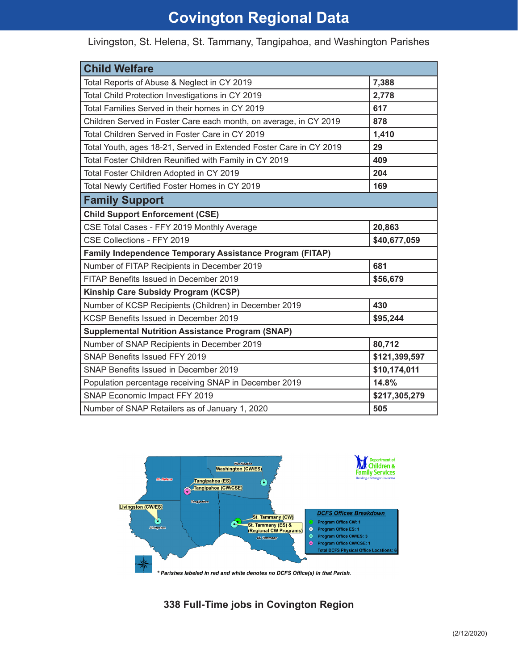# **Covington Regional Data**

| <b>Child Welfare</b>                                               |               |  |  |  |  |
|--------------------------------------------------------------------|---------------|--|--|--|--|
| Total Reports of Abuse & Neglect in CY 2019                        | 7,388         |  |  |  |  |
| Total Child Protection Investigations in CY 2019                   | 2,778         |  |  |  |  |
| Total Families Served in their homes in CY 2019                    | 617           |  |  |  |  |
| Children Served in Foster Care each month, on average, in CY 2019  | 878           |  |  |  |  |
| Total Children Served in Foster Care in CY 2019                    | 1,410         |  |  |  |  |
| Total Youth, ages 18-21, Served in Extended Foster Care in CY 2019 | 29            |  |  |  |  |
| Total Foster Children Reunified with Family in CY 2019             | 409           |  |  |  |  |
| Total Foster Children Adopted in CY 2019                           | 204           |  |  |  |  |
| Total Newly Certified Foster Homes in CY 2019                      | 169           |  |  |  |  |
| <b>Family Support</b>                                              |               |  |  |  |  |
| <b>Child Support Enforcement (CSE)</b>                             |               |  |  |  |  |
| CSE Total Cases - FFY 2019 Monthly Average                         | 20,863        |  |  |  |  |
| CSE Collections - FFY 2019                                         | \$40,677,059  |  |  |  |  |
| Family Independence Temporary Assistance Program (FITAP)           |               |  |  |  |  |
| Number of FITAP Recipients in December 2019                        | 681           |  |  |  |  |
| FITAP Benefits Issued in December 2019                             | \$56,679      |  |  |  |  |
| Kinship Care Subsidy Program (KCSP)                                |               |  |  |  |  |
| Number of KCSP Recipients (Children) in December 2019              | 430           |  |  |  |  |
| KCSP Benefits Issued in December 2019                              | \$95,244      |  |  |  |  |
| <b>Supplemental Nutrition Assistance Program (SNAP)</b>            |               |  |  |  |  |
| Number of SNAP Recipients in December 2019                         | 80,712        |  |  |  |  |
| <b>SNAP Benefits Issued FFY 2019</b>                               | \$121,399,597 |  |  |  |  |
| SNAP Benefits Issued in December 2019                              | \$10,174,011  |  |  |  |  |
| Population percentage receiving SNAP in December 2019              | 14.8%         |  |  |  |  |
| SNAP Economic Impact FFY 2019                                      | \$217,305,279 |  |  |  |  |
| Number of SNAP Retailers as of January 1, 2020                     | 505           |  |  |  |  |

Livingston, St. Helena, St. Tammany, Tangipahoa, and Washington Parishes



\* Parishes labeled in red and white denotes no DCFS Office(s) in that Parish.

#### **338 Full-Time jobs in Covington Region**